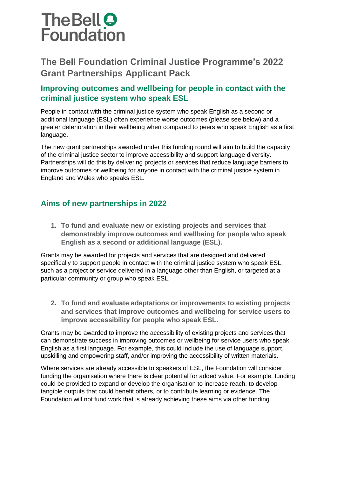# The Bell O<br>Foundation

# **The Bell Foundation Criminal Justice Programme's 2022 Grant Partnerships Applicant Pack**

# **Improving outcomes and wellbeing for people in contact with the criminal justice system who speak ESL**

People in contact with the criminal justice system who speak English as a second or additional language (ESL) often experience worse outcomes (please see below) and a greater deterioration in their wellbeing when compared to peers who speak English as a first language.

The new grant partnerships awarded under this funding round will aim to build the capacity of the criminal justice sector to improve accessibility and support language diversity. Partnerships will do this by delivering projects or services that reduce language barriers to improve outcomes or wellbeing for anyone in contact with the criminal justice system in England and Wales who speaks ESL.

# **Aims of new partnerships in 2022**

**1. To fund and evaluate new or existing projects and services that demonstrably improve outcomes and wellbeing for people who speak English as a second or additional language (ESL).**

Grants may be awarded for projects and services that are designed and delivered specifically to support people in contact with the criminal justice system who speak ESL, such as a project or service delivered in a language other than English, or targeted at a particular community or group who speak ESL.

**2. To fund and evaluate adaptations or improvements to existing projects and services that improve outcomes and wellbeing for service users to improve accessibility for people who speak ESL.**

Grants may be awarded to improve the accessibility of existing projects and services that can demonstrate success in improving outcomes or wellbeing for service users who speak English as a first language. For example, this could include the use of language support, upskilling and empowering staff, and/or improving the accessibility of written materials.

Where services are already accessible to speakers of ESL, the Foundation will consider funding the organisation where there is clear potential for added value. For example, funding could be provided to expand or develop the organisation to increase reach, to develop tangible outputs that could benefit others, or to contribute learning or evidence. The Foundation will not fund work that is already achieving these aims via other funding.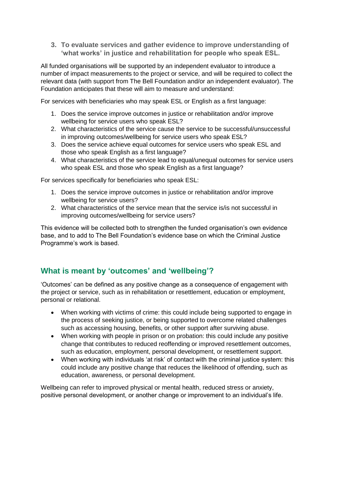**3. To evaluate services and gather evidence to improve understanding of 'what works' in justice and rehabilitation for people who speak ESL.**

All funded organisations will be supported by an independent evaluator to introduce a number of impact measurements to the project or service, and will be required to collect the relevant data (with support from The Bell Foundation and/or an independent evaluator). The Foundation anticipates that these will aim to measure and understand:

For services with beneficiaries who may speak ESL or English as a first language:

- 1. Does the service improve outcomes in justice or rehabilitation and/or improve wellbeing for service users who speak ESL?
- 2. What characteristics of the service cause the service to be successful/unsuccessful in improving outcomes/wellbeing for service users who speak ESL?
- 3. Does the service achieve equal outcomes for service users who speak ESL and those who speak English as a first language?
- 4. What characteristics of the service lead to equal/unequal outcomes for service users who speak ESL and those who speak English as a first language?

For services specifically for beneficiaries who speak ESL:

- 1. Does the service improve outcomes in justice or rehabilitation and/or improve wellbeing for service users?
- 2. What characteristics of the service mean that the service is/is not successful in improving outcomes/wellbeing for service users?

This evidence will be collected both to strengthen the funded organisation's own evidence base, and to add to The Bell Foundation's evidence base on which the Criminal Justice Programme's work is based.

### **What is meant by 'outcomes' and 'wellbeing'?**

'Outcomes' can be defined as any positive change as a consequence of engagement with the project or service, such as in rehabilitation or resettlement, education or employment, personal or relational.

- When working with victims of crime: this could include being supported to engage in the process of seeking justice, or being supported to overcome related challenges such as accessing housing, benefits, or other support after surviving abuse.
- When working with people in prison or on probation: this could include any positive change that contributes to reduced reoffending or improved resettlement outcomes, such as education, employment, personal development, or resettlement support.
- When working with individuals 'at risk' of contact with the criminal justice system: this could include any positive change that reduces the likelihood of offending, such as education, awareness, or personal development.

Wellbeing can refer to improved physical or mental health, reduced stress or anxiety, positive personal development, or another change or improvement to an individual's life.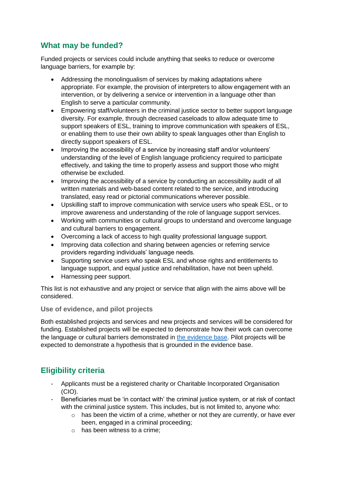# **What may be funded?**

Funded projects or services could include anything that seeks to reduce or overcome language barriers, for example by:

- Addressing the monolingualism of services by making adaptations where appropriate. For example, the provision of interpreters to allow engagement with an intervention, or by delivering a service or intervention in a language other than English to serve a particular community.
- Empowering staff/volunteers in the criminal justice sector to better support language diversity. For example, through decreased caseloads to allow adequate time to support speakers of ESL, training to improve communication with speakers of ESL, or enabling them to use their own ability to speak languages other than English to directly support speakers of ESL.
- Improving the accessibility of a service by increasing staff and/or volunteers' understanding of the level of English language proficiency required to participate effectively, and taking the time to properly assess and support those who might otherwise be excluded.
- Improving the accessibility of a service by conducting an accessibility audit of all written materials and web-based content related to the service, and introducing translated, easy read or pictorial communications wherever possible.
- Upskilling staff to improve communication with service users who speak ESL, or to improve awareness and understanding of the role of language support services.
- Working with communities or cultural groups to understand and overcome language and cultural barriers to engagement.
- Overcoming a lack of access to high quality professional language support.
- Improving data collection and sharing between agencies or referring service providers regarding individuals' language needs.
- Supporting service users who speak ESL and whose rights and entitlements to language support, and equal justice and rehabilitation, have not been upheld.
- Harnessing peer support.

This list is not exhaustive and any project or service that align with the aims above will be considered.

**Use of evidence, and pilot projects**

Both established projects and services and new projects and services will be considered for funding. Established projects will be expected to demonstrate how their work can overcome the language or cultural barriers demonstrated in [the evidence base.](https://www.bell-foundation.org.uk/criminal-justice-programme/research/language-barriers-in-the-criminal-justice-system/) Pilot projects will be expected to demonstrate a hypothesis that is grounded in the evidence base.

# **Eligibility criteria**

- Applicants must be a registered charity or Charitable Incorporated Organisation (CIO).
- Beneficiaries must be 'in contact with' the criminal justice system, or at risk of contact with the criminal justice system. This includes, but is not limited to, anyone who:
	- $\circ$  has been the victim of a crime, whether or not they are currently, or have ever been, engaged in a criminal proceeding;
	- o has been witness to a crime;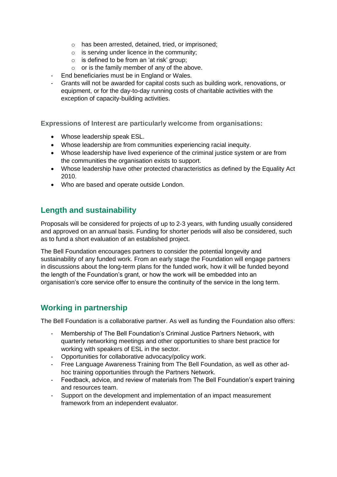- o has been arrested, detained, tried, or imprisoned;
- $\circ$  is serving under licence in the community;
- $\circ$  is defined to be from an 'at risk' group:
- o or is the family member of any of the above.
- End beneficiaries must be in England or Wales.
- Grants will not be awarded for capital costs such as building work, renovations, or equipment, or for the day-to-day running costs of charitable activities with the exception of capacity-building activities.

**Expressions of Interest are particularly welcome from organisations:**

- Whose leadership speak ESL.
- Whose leadership are from communities experiencing racial inequity.
- Whose leadership have lived experience of the criminal justice system or are from the communities the organisation exists to support.
- Whose leadership have other protected characteristics as defined by the Equality Act 2010.
- Who are based and operate outside London.

### **Length and sustainability**

Proposals will be considered for projects of up to 2-3 years, with funding usually considered and approved on an annual basis. Funding for shorter periods will also be considered, such as to fund a short evaluation of an established project.

The Bell Foundation encourages partners to consider the potential longevity and sustainability of any funded work. From an early stage the Foundation will engage partners in discussions about the long-term plans for the funded work, how it will be funded beyond the length of the Foundation's grant, or how the work will be embedded into an organisation's core service offer to ensure the continuity of the service in the long term.

### **Working in partnership**

The Bell Foundation is a collaborative partner. As well as funding the Foundation also offers:

- Membership of The Bell Foundation's Criminal Justice Partners Network, with quarterly networking meetings and other opportunities to share best practice for working with speakers of ESL in the sector.
- Opportunities for collaborative advocacy/policy work.
- Free Language Awareness Training from The Bell Foundation, as well as other adhoc training opportunities through the Partners Network.
- Feedback, advice, and review of materials from The Bell Foundation's expert training and resources team.
- Support on the development and implementation of an impact measurement framework from an independent evaluator.